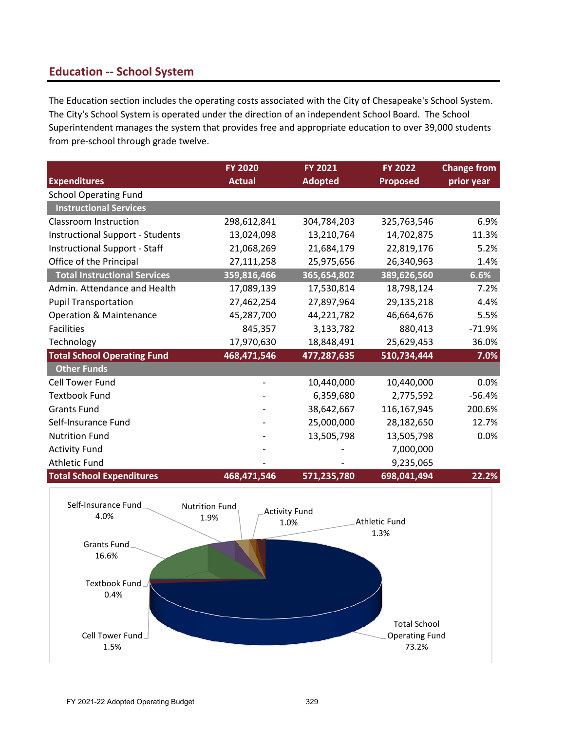# **Education -- School System**

The Education section includes the operating costs associated with the City of Chesapeake's School System. The City's School System is operated under the direction of an independent School Board. The School Superintendent manages the system that provides free and appropriate education to over 39,000 students from pre-school through grade twelve.

|                                         | <b>FY 2020</b> | <b>FY 2021</b> | <b>FY 2022</b>  | <b>Change from</b> |
|-----------------------------------------|----------------|----------------|-----------------|--------------------|
| <b>Expenditures</b>                     | <b>Actual</b>  | <b>Adopted</b> | <b>Proposed</b> | prior year         |
| <b>School Operating Fund</b>            |                |                |                 |                    |
| <b>Instructional Services</b>           |                |                |                 |                    |
| Classroom Instruction                   | 298,612,841    | 304,784,203    | 325,763,546     | 6.9%               |
| <b>Instructional Support - Students</b> | 13,024,098     | 13,210,764     | 14,702,875      | 11.3%              |
| <b>Instructional Support - Staff</b>    | 21,068,269     | 21,684,179     | 22,819,176      | 5.2%               |
| Office of the Principal                 | 27,111,258     | 25,975,656     | 26,340,963      | 1.4%               |
| <b>Total Instructional Services</b>     | 359,816,466    | 365,654,802    | 389,626,560     | 6.6%               |
| Admin. Attendance and Health            | 17,089,139     | 17,530,814     | 18,798,124      | 7.2%               |
| <b>Pupil Transportation</b>             | 27,462,254     | 27,897,964     | 29,135,218      | 4.4%               |
| <b>Operation &amp; Maintenance</b>      | 45,287,700     | 44,221,782     | 46,664,676      | 5.5%               |
| <b>Facilities</b>                       | 845,357        | 3,133,782      | 880,413         | $-71.9%$           |
| Technology                              | 17,970,630     | 18,848,491     | 25,629,453      | 36.0%              |
| <b>Total School Operating Fund</b>      | 468,471,546    | 477,287,635    | 510,734,444     | 7.0%               |
| <b>Other Funds</b>                      |                |                |                 |                    |
| <b>Cell Tower Fund</b>                  |                | 10,440,000     | 10,440,000      | 0.0%               |
| <b>Textbook Fund</b>                    |                | 6,359,680      | 2,775,592       | $-56.4%$           |
| <b>Grants Fund</b>                      |                | 38,642,667     | 116,167,945     | 200.6%             |
| Self-Insurance Fund                     |                | 25,000,000     | 28,182,650      | 12.7%              |
| <b>Nutrition Fund</b>                   |                | 13,505,798     | 13,505,798      | 0.0%               |
| <b>Activity Fund</b>                    |                |                | 7,000,000       |                    |
| <b>Athletic Fund</b>                    |                |                | 9,235,065       |                    |
| <b>Total School Expenditures</b>        | 468,471,546    | 571,235,780    | 698,041,494     | 22.2%              |

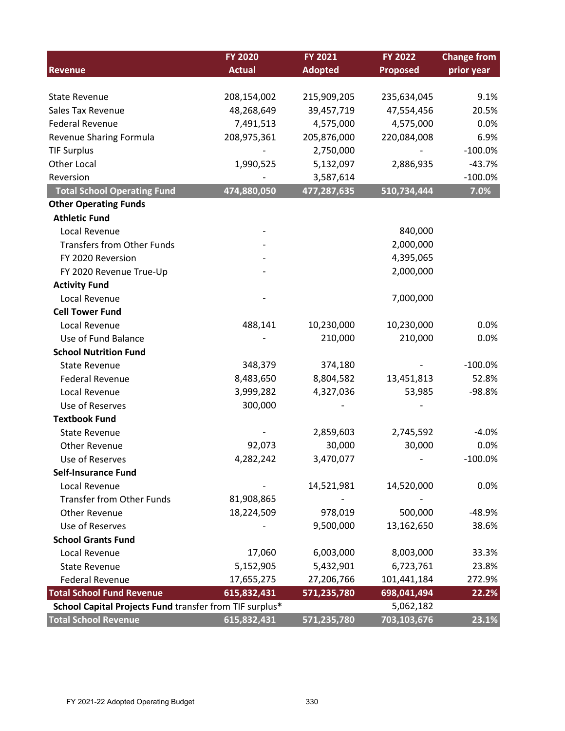|                                                         | <b>FY 2020</b> | <b>FY 2021</b> | <b>FY 2022</b>  | <b>Change from</b> |
|---------------------------------------------------------|----------------|----------------|-----------------|--------------------|
| <b>Revenue</b>                                          | <b>Actual</b>  | <b>Adopted</b> | <b>Proposed</b> | prior year         |
|                                                         |                |                |                 |                    |
| <b>State Revenue</b>                                    | 208,154,002    | 215,909,205    | 235,634,045     | 9.1%               |
| Sales Tax Revenue                                       | 48,268,649     | 39,457,719     | 47,554,456      | 20.5%              |
| <b>Federal Revenue</b>                                  | 7,491,513      | 4,575,000      | 4,575,000       | 0.0%               |
| Revenue Sharing Formula                                 | 208,975,361    | 205,876,000    | 220,084,008     | 6.9%               |
| <b>TIF Surplus</b>                                      |                | 2,750,000      |                 | $-100.0%$          |
| <b>Other Local</b>                                      | 1,990,525      | 5,132,097      | 2,886,935       | $-43.7%$           |
| Reversion                                               |                | 3,587,614      |                 | $-100.0%$          |
| <b>Total School Operating Fund</b>                      | 474,880,050    | 477,287,635    | 510,734,444     | 7.0%               |
| <b>Other Operating Funds</b>                            |                |                |                 |                    |
| <b>Athletic Fund</b>                                    |                |                |                 |                    |
| Local Revenue                                           |                |                | 840,000         |                    |
| <b>Transfers from Other Funds</b>                       |                |                | 2,000,000       |                    |
| FY 2020 Reversion                                       |                |                | 4,395,065       |                    |
| FY 2020 Revenue True-Up                                 |                |                | 2,000,000       |                    |
| <b>Activity Fund</b>                                    |                |                |                 |                    |
| Local Revenue                                           |                |                | 7,000,000       |                    |
| <b>Cell Tower Fund</b>                                  |                |                |                 |                    |
| Local Revenue                                           | 488,141        | 10,230,000     | 10,230,000      | 0.0%               |
| Use of Fund Balance                                     |                | 210,000        | 210,000         | 0.0%               |
| <b>School Nutrition Fund</b>                            |                |                |                 |                    |
| <b>State Revenue</b>                                    | 348,379        | 374,180        |                 | $-100.0\%$         |
| <b>Federal Revenue</b>                                  | 8,483,650      | 8,804,582      | 13,451,813      | 52.8%              |
| Local Revenue                                           | 3,999,282      | 4,327,036      | 53,985          | $-98.8%$           |
| Use of Reserves                                         | 300,000        |                |                 |                    |
| <b>Textbook Fund</b>                                    |                |                |                 |                    |
| <b>State Revenue</b>                                    |                | 2,859,603      | 2,745,592       | $-4.0%$            |
| <b>Other Revenue</b>                                    | 92,073         | 30,000         | 30,000          | 0.0%               |
| Use of Reserves                                         | 4,282,242      | 3,470,077      |                 | $-100.0%$          |
| <b>Self-Insurance Fund</b>                              |                |                |                 |                    |
| Local Revenue                                           |                | 14,521,981     | 14,520,000      | 0.0%               |
| <b>Transfer from Other Funds</b>                        | 81,908,865     |                |                 |                    |
| <b>Other Revenue</b>                                    | 18,224,509     | 978,019        | 500,000         | $-48.9%$           |
| Use of Reserves                                         |                | 9,500,000      | 13,162,650      | 38.6%              |
| <b>School Grants Fund</b>                               |                |                |                 |                    |
| Local Revenue                                           | 17,060         | 6,003,000      | 8,003,000       | 33.3%              |
| <b>State Revenue</b>                                    | 5,152,905      | 5,432,901      | 6,723,761       | 23.8%              |
| <b>Federal Revenue</b>                                  | 17,655,275     | 27,206,766     | 101,441,184     | 272.9%             |
| <b>Total School Fund Revenue</b>                        | 615,832,431    | 571,235,780    | 698,041,494     | 22.2%              |
| School Capital Projects Fund transfer from TIF surplus* |                |                | 5,062,182       |                    |
| <b>Total School Revenue</b>                             | 615,832,431    | 571,235,780    | 703,103,676     | 23.1%              |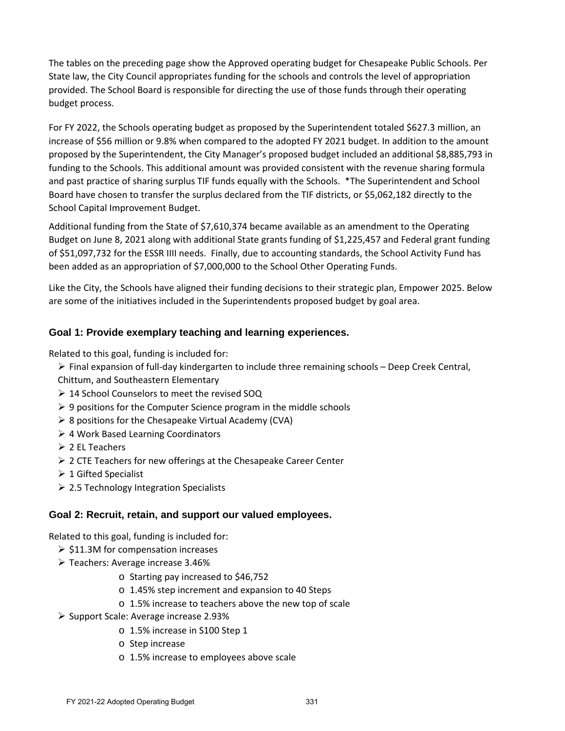The tables on the preceding page show the Approved operating budget for Chesapeake Public Schools. Per State law, the City Council appropriates funding for the schools and controls the level of appropriation provided. The School Board is responsible for directing the use of those funds through their operating budget process.

For FY 2022, the Schools operating budget as proposed by the Superintendent totaled \$627.3 million, an increase of \$56 million or 9.8% when compared to the adopted FY 2021 budget. In addition to the amount proposed by the Superintendent, the City Manager's proposed budget included an additional \$8,885,793 in funding to the Schools. This additional amount was provided consistent with the revenue sharing formula and past practice of sharing surplus TIF funds equally with the Schools. \*The Superintendent and School Board have chosen to transfer the surplus declared from the TIF districts, or \$5,062,182 directly to the School Capital Improvement Budget.

Additional funding from the State of \$7,610,374 became available as an amendment to the Operating Budget on June 8, 2021 along with additional State grants funding of \$1,225,457 and Federal grant funding of \$51,097,732 for the ESSR IIII needs. Finally, due to accounting standards, the School Activity Fund has been added as an appropriation of \$7,000,000 to the School Other Operating Funds.

Like the City, the Schools have aligned their funding decisions to their strategic plan, Empower 2025. Below are some of the initiatives included in the Superintendents proposed budget by goal area.

## **Goal 1: Provide exemplary teaching and learning experiences.**

Related to this goal, funding is included for:

- $\triangleright$  Final expansion of full-day kindergarten to include three remaining schools Deep Creek Central, Chittum, and Southeastern Elementary
- ▶ 14 School Counselors to meet the revised SOQ
- $\geq 9$  positions for the Computer Science program in the middle schools
- $\triangleright$  8 positions for the Chesapeake Virtual Academy (CVA)
- 4 Work Based Learning Coordinators
- $\geq 2$  EL Teachers
- $\geq 2$  CTE Teachers for new offerings at the Chesapeake Career Center
- $\geq 1$  Gifted Specialist
- $\geq$  2.5 Technology Integration Specialists

### **Goal 2: Recruit, retain, and support our valued employees.**

Related to this goal, funding is included for:

- $\geq$  \$11.3M for compensation increases
- $\triangleright$  Teachers: Average increase 3.46%
	- o Starting pay increased to \$46,752
	- o 1.45% step increment and expansion to 40 Steps
	- o 1.5% increase to teachers above the new top of scale
- $\triangleright$  Support Scale: Average increase 2.93%
	- o 1.5% increase in S100 Step 1
	- o Step increase
	- o 1.5% increase to employees above scale